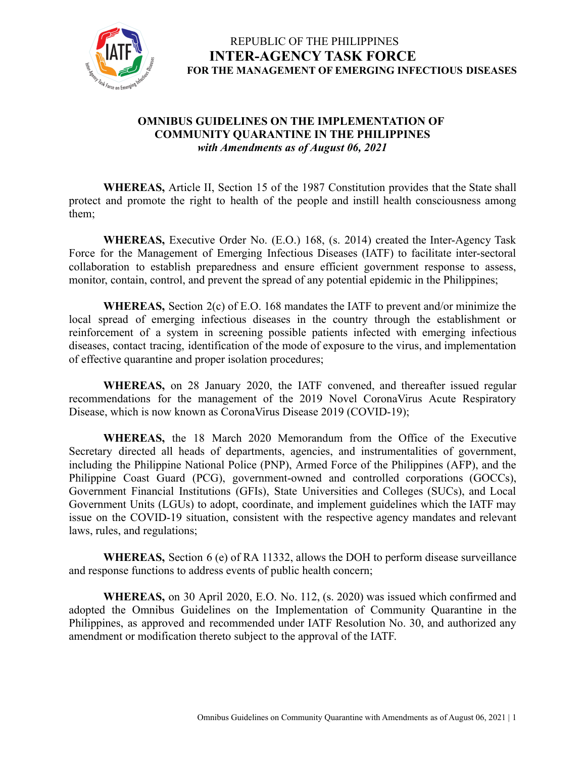

#### **OMNIBUS GUIDELINES ON THE IMPLEMENTATION OF COMMUNITY QUARANTINE IN THE PHILIPPINES** *with Amendments as of August 06, 2021*

**WHEREAS,** Article II, Section 15 of the 1987 Constitution provides that the State shall protect and promote the right to health of the people and instill health consciousness among them;

**WHEREAS,** Executive Order No. (E.O.) 168, (s. 2014) created the Inter-Agency Task Force for the Management of Emerging Infectious Diseases (IATF) to facilitate inter-sectoral collaboration to establish preparedness and ensure efficient government response to assess, monitor, contain, control, and prevent the spread of any potential epidemic in the Philippines;

**WHEREAS,** Section 2(c) of E.O. 168 mandates the IATF to prevent and/or minimize the local spread of emerging infectious diseases in the country through the establishment or reinforcement of a system in screening possible patients infected with emerging infectious diseases, contact tracing, identification of the mode of exposure to the virus, and implementation of effective quarantine and proper isolation procedures;

**WHEREAS,** on 28 January 2020, the IATF convened, and thereafter issued regular recommendations for the management of the 2019 Novel CoronaVirus Acute Respiratory Disease, which is now known as CoronaVirus Disease 2019 (COVID-19);

**WHEREAS,** the 18 March 2020 Memorandum from the Office of the Executive Secretary directed all heads of departments, agencies, and instrumentalities of government, including the Philippine National Police (PNP), Armed Force of the Philippines (AFP), and the Philippine Coast Guard (PCG), government-owned and controlled corporations (GOCCs), Government Financial Institutions (GFIs), State Universities and Colleges (SUCs), and Local Government Units (LGUs) to adopt, coordinate, and implement guidelines which the IATF may issue on the COVID-19 situation, consistent with the respective agency mandates and relevant laws, rules, and regulations;

**WHEREAS,** Section 6 (e) of RA 11332, allows the DOH to perform disease surveillance and response functions to address events of public health concern;

**WHEREAS,** on 30 April 2020, E.O. No. 112, (s. 2020) was issued which confirmed and adopted the Omnibus Guidelines on the Implementation of Community Quarantine in the Philippines, as approved and recommended under IATF Resolution No. 30, and authorized any amendment or modification thereto subject to the approval of the IATF.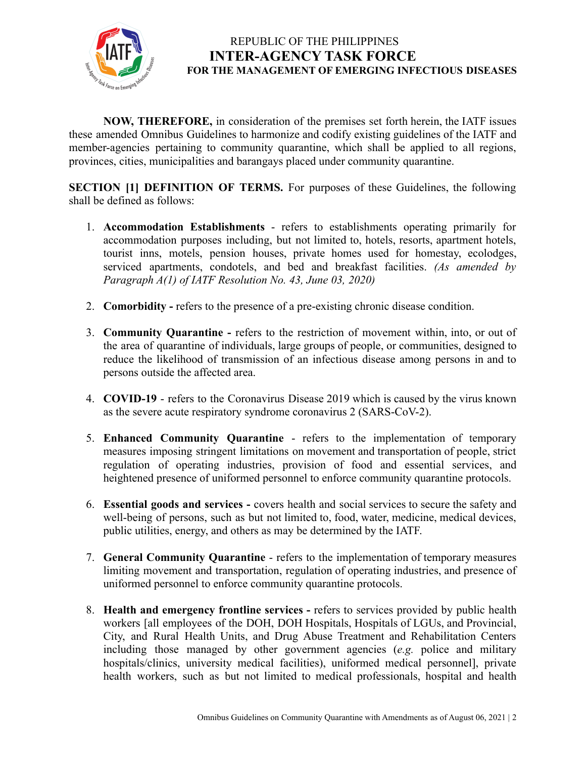

**NOW, THEREFORE,** in consideration of the premises set forth herein, the IATF issues these amended Omnibus Guidelines to harmonize and codify existing guidelines of the IATF and member-agencies pertaining to community quarantine, which shall be applied to all regions, provinces, cities, municipalities and barangays placed under community quarantine.

**SECTION [1] DEFINITION OF TERMS.** For purposes of these Guidelines, the following shall be defined as follows:

- 1. **Accommodation Establishments** refers to establishments operating primarily for accommodation purposes including, but not limited to, hotels, resorts, apartment hotels, tourist inns, motels, pension houses, private homes used for homestay, ecolodges, serviced apartments, condotels, and bed and breakfast facilities. *(As amended by Paragraph A(1) of IATF Resolution No. 43, June 03, 2020)*
- 2. **Comorbidity -** refers to the presence of a pre-existing chronic disease condition.
- 3. **Community Quarantine -** refers to the restriction of movement within, into, or out of the area of quarantine of individuals, large groups of people, or communities, designed to reduce the likelihood of transmission of an infectious disease among persons in and to persons outside the affected area.
- 4. **COVID-19** refers to the Coronavirus Disease 2019 which is caused by the virus known as the severe acute respiratory syndrome coronavirus 2 (SARS-CoV-2).
- 5. **Enhanced Community Quarantine** refers to the implementation of temporary measures imposing stringent limitations on movement and transportation of people, strict regulation of operating industries, provision of food and essential services, and heightened presence of uniformed personnel to enforce community quarantine protocols.
- 6. **Essential goods and services -** covers health and social services to secure the safety and well-being of persons, such as but not limited to, food, water, medicine, medical devices, public utilities, energy, and others as may be determined by the IATF.
- 7. **General Community Quarantine** refers to the implementation of temporary measures limiting movement and transportation, regulation of operating industries, and presence of uniformed personnel to enforce community quarantine protocols.
- 8. **Health and emergency frontline services -** refers to services provided by public health workers [all employees of the DOH, DOH Hospitals, Hospitals of LGUs, and Provincial, City, and Rural Health Units, and Drug Abuse Treatment and Rehabilitation Centers including those managed by other government agencies (*e.g.* police and military hospitals/clinics, university medical facilities), uniformed medical personnel], private health workers, such as but not limited to medical professionals, hospital and health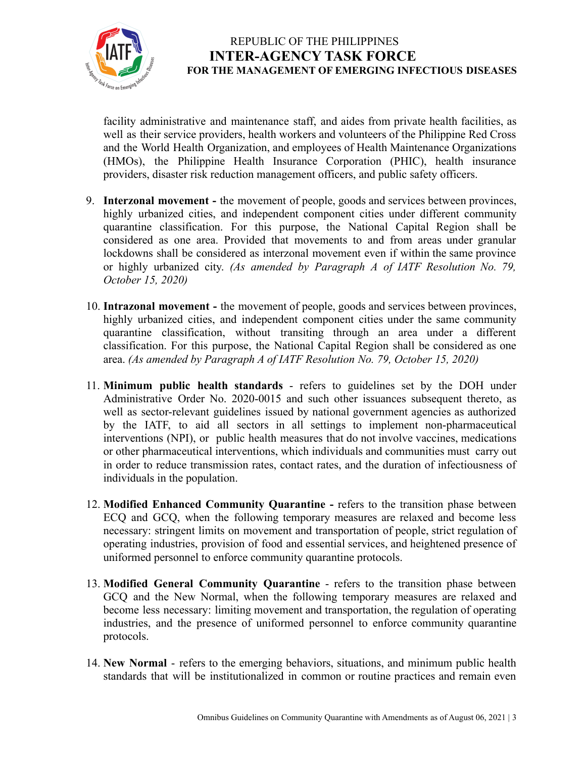

facility administrative and maintenance staff, and aides from private health facilities, as well as their service providers, health workers and volunteers of the Philippine Red Cross and the World Health Organization, and employees of Health Maintenance Organizations (HMOs), the Philippine Health Insurance Corporation (PHIC), health insurance providers, disaster risk reduction management officers, and public safety officers.

- 9. **Interzonal movement -** the movement of people, goods and services between provinces, highly urbanized cities, and independent component cities under different community quarantine classification. For this purpose, the National Capital Region shall be considered as one area. Provided that movements to and from areas under granular lockdowns shall be considered as interzonal movement even if within the same province or highly urbanized city. *(As amended by Paragraph A of IATF Resolution No. 79, October 15, 2020)*
- 10. **Intrazonal movement -** the movement of people, goods and services between provinces, highly urbanized cities, and independent component cities under the same community quarantine classification, without transiting through an area under a different classification. For this purpose, the National Capital Region shall be considered as one area. *(As amended by Paragraph A of IATF Resolution No. 79, October 15, 2020)*
- 11. **Minimum public health standards** refers to guidelines set by the DOH under Administrative Order No. 2020-0015 and such other issuances subsequent thereto, as well as sector-relevant guidelines issued by national government agencies as authorized by the IATF, to aid all sectors in all settings to implement non-pharmaceutical interventions (NPI), or public health measures that do not involve vaccines, medications or other pharmaceutical interventions, which individuals and communities must carry out in order to reduce transmission rates, contact rates, and the duration of infectiousness of individuals in the population.
- 12. **Modified Enhanced Community Quarantine -** refers to the transition phase between ECQ and GCQ, when the following temporary measures are relaxed and become less necessary: stringent limits on movement and transportation of people, strict regulation of operating industries, provision of food and essential services, and heightened presence of uniformed personnel to enforce community quarantine protocols.
- 13. **Modified General Community Quarantine** refers to the transition phase between GCQ and the New Normal, when the following temporary measures are relaxed and become less necessary: limiting movement and transportation, the regulation of operating industries, and the presence of uniformed personnel to enforce community quarantine protocols.
- 14. **New Normal** refers to the emerging behaviors, situations, and minimum public health standards that will be institutionalized in common or routine practices and remain even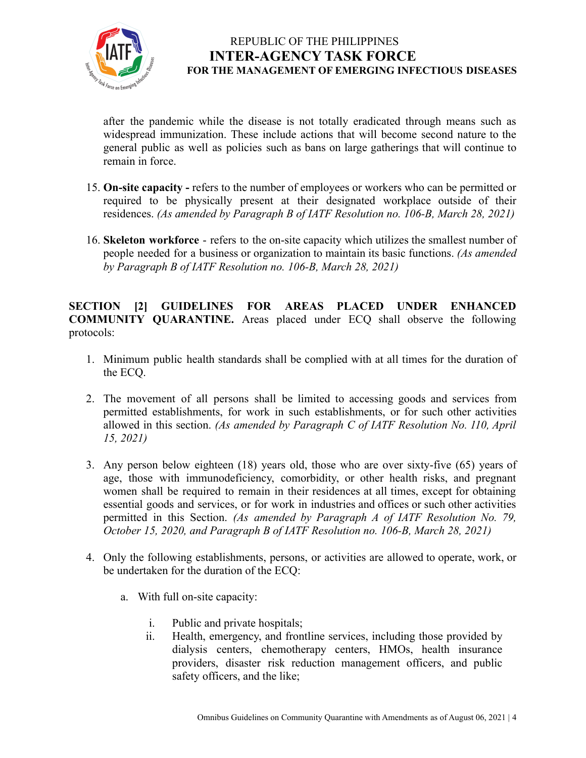

after the pandemic while the disease is not totally eradicated through means such as widespread immunization. These include actions that will become second nature to the general public as well as policies such as bans on large gatherings that will continue to remain in force.

- 15. **On-site capacity -** refers to the number of employees or workers who can be permitted or required to be physically present at their designated workplace outside of their residences. *(As amended by Paragraph B of IATF Resolution no. 106-B, March 28, 2021)*
- 16. **Skeleton workforce** refers to the on-site capacity which utilizes the [smallest](https://dictionary.cambridge.org/us/dictionary/english/small) [number](https://dictionary.cambridge.org/us/dictionary/english/number) of [people](https://dictionary.cambridge.org/us/dictionary/english/people) [needed](https://dictionary.cambridge.org/us/dictionary/english/needed) for a [business](https://dictionary.cambridge.org/us/dictionary/english/business) or [organization](https://dictionary.cambridge.org/us/dictionary/english/organization) to maintain its basic functions. *(As amended by Paragraph B of IATF Resolution no. 106-B, March 28, 2021)*

**SECTION [2] GUIDELINES FOR AREAS PLACED UNDER ENHANCED COMMUNITY QUARANTINE.** Areas placed under ECQ shall observe the following protocols:

- 1. Minimum public health standards shall be complied with at all times for the duration of the ECQ.
- 2. The movement of all persons shall be limited to accessing goods and services from permitted establishments, for work in such establishments, or for such other activities allowed in this section. *(As amended by Paragraph C of IATF Resolution No. 110, April 15, 2021)*
- 3. Any person below eighteen (18) years old, those who are over sixty-five (65) years of age, those with immunodeficiency, comorbidity, or other health risks, and pregnant women shall be required to remain in their residences at all times, except for obtaining essential goods and services, or for work in industries and offices or such other activities permitted in this Section. *(As amended by Paragraph A of IATF Resolution No. 79, October 15, 2020, and Paragraph B of IATF Resolution no. 106-B, March 28, 2021)*
- 4. Only the following establishments, persons, or activities are allowed to operate, work, or be undertaken for the duration of the ECQ:
	- a. With full on-site capacity:
		- i. Public and private hospitals;
		- ii. Health, emergency, and frontline services, including those provided by dialysis centers, chemotherapy centers, HMOs, health insurance providers, disaster risk reduction management officers, and public safety officers, and the like;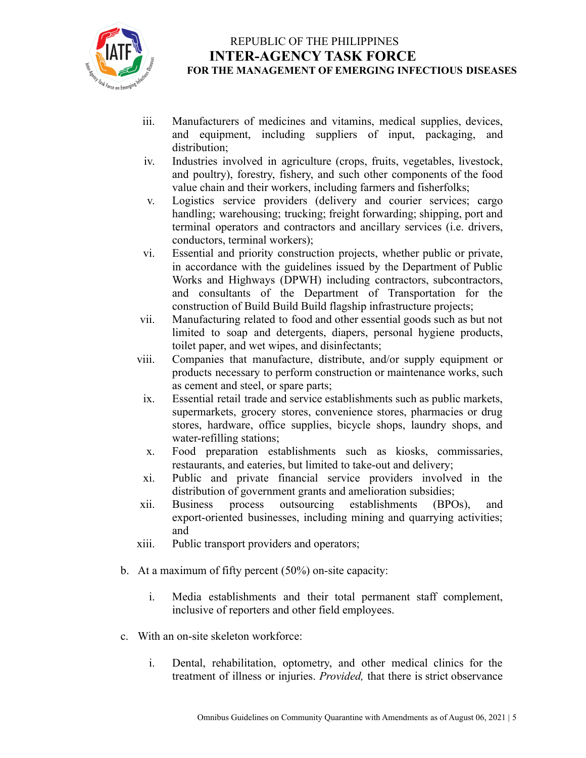

- iii. Manufacturers of medicines and vitamins, medical supplies, devices, and equipment, including suppliers of input, packaging, and distribution;
- iv. Industries involved in agriculture (crops, fruits, vegetables, livestock, and poultry), forestry, fishery, and such other components of the food value chain and their workers, including farmers and fisherfolks;
- v. Logistics service providers (delivery and courier services; cargo handling; warehousing; trucking; freight forwarding; shipping, port and terminal operators and contractors and ancillary services (i.e. drivers, conductors, terminal workers);
- vi. Essential and priority construction projects, whether public or private, in accordance with the guidelines issued by the Department of Public Works and Highways (DPWH) including contractors, subcontractors, and consultants of the Department of Transportation for the construction of Build Build Build flagship infrastructure projects;
- vii. Manufacturing related to food and other essential goods such as but not limited to soap and detergents, diapers, personal hygiene products, toilet paper, and wet wipes, and disinfectants;
- viii. Companies that manufacture, distribute, and/or supply equipment or products necessary to perform construction or maintenance works, such as cement and steel, or spare parts;
- ix. Essential retail trade and service establishments such as public markets, supermarkets, grocery stores, convenience stores, pharmacies or drug stores, hardware, office supplies, bicycle shops, laundry shops, and water-refilling stations;
- x. Food preparation establishments such as kiosks, commissaries, restaurants, and eateries, but limited to take-out and delivery;
- xi. Public and private financial service providers involved in the distribution of government grants and amelioration subsidies;
- xii. Business process outsourcing establishments (BPOs), and export-oriented businesses, including mining and quarrying activities; and
- xiii. Public transport providers and operators;
- b. At a maximum of fifty percent (50%) on-site capacity:
	- i. Media establishments and their total permanent staff complement, inclusive of reporters and other field employees.
- c. With an on-site skeleton workforce:
	- i. Dental, rehabilitation, optometry, and other medical clinics for the treatment of illness or injuries. *Provided,* that there is strict observance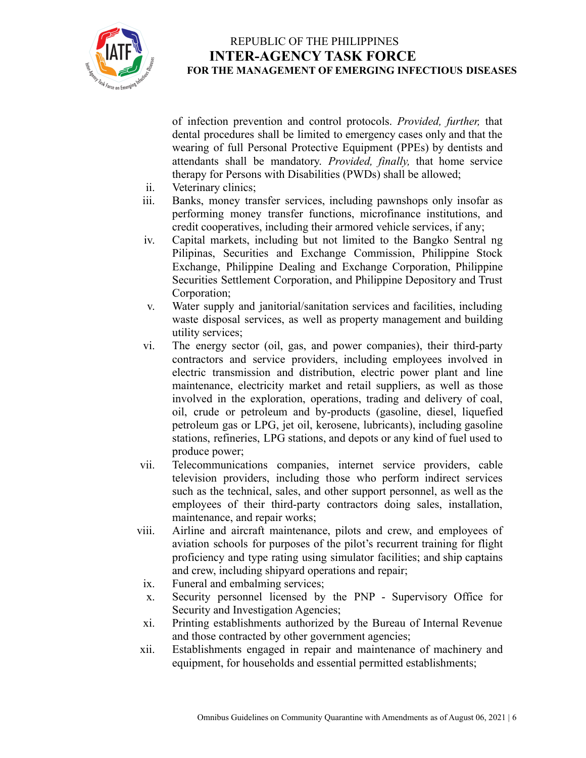

of infection prevention and control protocols. *Provided, further,* that dental procedures shall be limited to emergency cases only and that the wearing of full Personal Protective Equipment (PPEs) by dentists and attendants shall be mandatory. *Provided, finally,* that home service therapy for Persons with Disabilities (PWDs) shall be allowed;

- ii. Veterinary clinics;
- iii. Banks, money transfer services, including pawnshops only insofar as performing money transfer functions, microfinance institutions, and credit cooperatives, including their armored vehicle services, if any;
- iv. Capital markets, including but not limited to the Bangko Sentral ng Pilipinas, Securities and Exchange Commission, Philippine Stock Exchange, Philippine Dealing and Exchange Corporation, Philippine Securities Settlement Corporation, and Philippine Depository and Trust Corporation;
- v. Water supply and janitorial/sanitation services and facilities, including waste disposal services, as well as property management and building utility services;
- vi. The energy sector (oil, gas, and power companies), their third-party contractors and service providers, including employees involved in electric transmission and distribution, electric power plant and line maintenance, electricity market and retail suppliers, as well as those involved in the exploration, operations, trading and delivery of coal, oil, crude or petroleum and by-products (gasoline, diesel, liquefied petroleum gas or LPG, jet oil, kerosene, lubricants), including gasoline stations, refineries, LPG stations, and depots or any kind of fuel used to produce power;
- vii. Telecommunications companies, internet service providers, cable television providers, including those who perform indirect services such as the technical, sales, and other support personnel, as well as the employees of their third-party contractors doing sales, installation, maintenance, and repair works;
- viii. Airline and aircraft maintenance, pilots and crew, and employees of aviation schools for purposes of the pilot's recurrent training for flight proficiency and type rating using simulator facilities; and ship captains and crew, including shipyard operations and repair;
	- ix. Funeral and embalming services;
	- x. Security personnel licensed by the PNP Supervisory Office for Security and Investigation Agencies;
	- xi. Printing establishments authorized by the Bureau of Internal Revenue and those contracted by other government agencies;
- xii. Establishments engaged in repair and maintenance of machinery and equipment, for households and essential permitted establishments;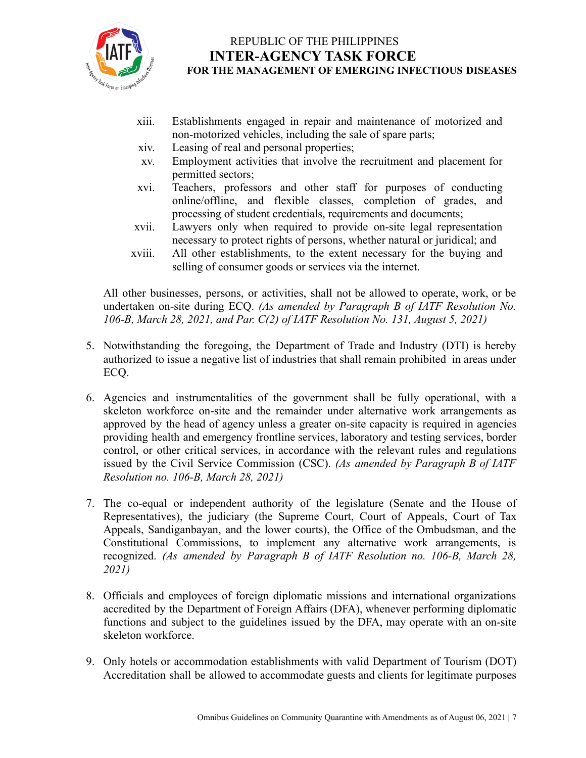

- xiii. Establishments engaged in repair and maintenance of motorized and non-motorized vehicles, including the sale of spare parts;
- xiv. Leasing of real and personal properties;
- xv. Employment activities that involve the recruitment and placement for permitted sectors;
- xvi. Teachers, professors and other staff for purposes of conducting online/offline, and flexible classes, completion of grades, and processing of student credentials, requirements and documents;
- xvii. Lawyers only when required to provide on-site legal representation necessary to protect rights of persons, whether natural or juridical; and
- xviii. All other establishments, to the extent necessary for the buying and selling of consumer goods or services via the internet.

All other businesses, persons, or activities, shall not be allowed to operate, work, or be undertaken on-site during ECQ. *(As amended by Paragraph B of IATF Resolution No. 106-B, March 28, 2021, and Par. C(2) of IATF Resolution No. 131, August 5, 2021)*

- 5. Notwithstanding the foregoing, the Department of Trade and Industry (DTI) is hereby authorized to issue a negative list of industries that shall remain prohibited in areas under ECQ.
- 6. Agencies and instrumentalities of the government shall be fully operational, with a skeleton workforce on-site and the remainder under alternative work arrangements as approved by the head of agency unless a greater on-site capacity is required in agencies providing health and emergency frontline services, laboratory and testing services, border control, or other critical services, in accordance with the relevant rules and regulations issued by the Civil Service Commission (CSC). *(As amended by Paragraph B of IATF Resolution no. 106-B, March 28, 2021)*
- 7. The co-equal or independent authority of the legislature (Senate and the House of Representatives), the judiciary (the Supreme Court, Court of Appeals, Court of Tax Appeals, Sandiganbayan, and the lower courts), the Office of the Ombudsman, and the Constitutional Commissions, to implement any alternative work arrangements, is recognized. *(As amended by Paragraph B of IATF Resolution no. 106-B, March 28, 2021)*
- 8. Officials and employees of foreign diplomatic missions and international organizations accredited by the Department of Foreign Affairs (DFA), whenever performing diplomatic functions and subject to the guidelines issued by the DFA, may operate with an on-site skeleton workforce.
- 9. Only hotels or accommodation establishments with valid Department of Tourism (DOT) Accreditation shall be allowed to accommodate guests and clients for legitimate purposes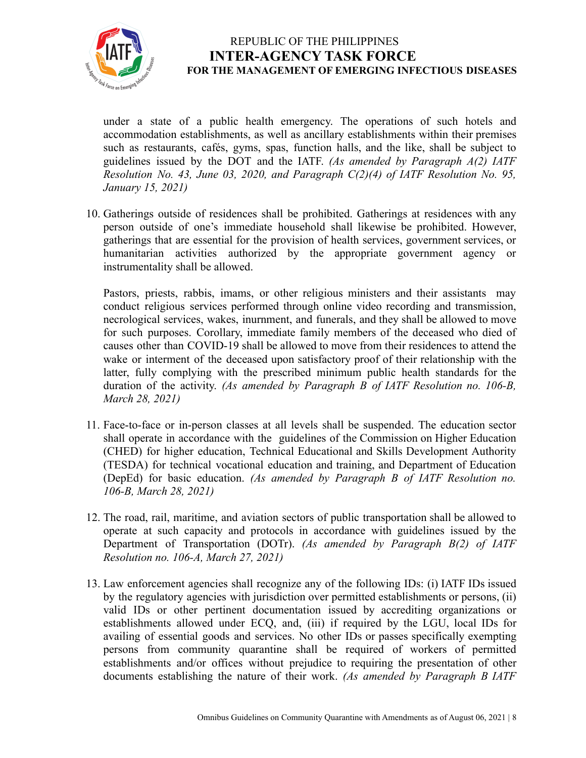

under a state of a public health emergency. The operations of such hotels and accommodation establishments, as well as ancillary establishments within their premises such as restaurants, cafés, gyms, spas, function halls, and the like, shall be subject to guidelines issued by the DOT and the IATF. *(As amended by Paragraph A(2) IATF Resolution No. 43, June 03, 2020, and Paragraph C(2)(4) of IATF Resolution No. 95, January 15, 2021)*

10. Gatherings outside of residences shall be prohibited. Gatherings at residences with any person outside of one's immediate household shall likewise be prohibited. However, gatherings that are essential for the provision of health services, government services, or humanitarian activities authorized by the appropriate government agency or instrumentality shall be allowed.

Pastors, priests, rabbis, imams, or other religious ministers and their assistants may conduct religious services performed through online video recording and transmission, necrological services, wakes, inurnment, and funerals, and they shall be allowed to move for such purposes. Corollary, immediate family members of the deceased who died of causes other than COVID-19 shall be allowed to move from their residences to attend the wake or interment of the deceased upon satisfactory proof of their relationship with the latter, fully complying with the prescribed minimum public health standards for the duration of the activity. *(As amended by Paragraph B of IATF Resolution no. 106-B, March 28, 2021)*

- 11. Face-to-face or in-person classes at all levels shall be suspended. The education sector shall operate in accordance with the guidelines of the Commission on Higher Education (CHED) for higher education, Technical Educational and Skills Development Authority (TESDA) for technical vocational education and training, and Department of Education (DepEd) for basic education. *(As amended by Paragraph B of IATF Resolution no. 106-B, March 28, 2021)*
- 12. The road, rail, maritime, and aviation sectors of public transportation shall be allowed to operate at such capacity and protocols in accordance with guidelines issued by the Department of Transportation (DOTr). *(As amended by Paragraph B(2) of IATF Resolution no. 106-A, March 27, 2021)*
- 13. Law enforcement agencies shall recognize any of the following IDs: (i) IATF IDs issued by the regulatory agencies with jurisdiction over permitted establishments or persons, (ii) valid IDs or other pertinent documentation issued by accrediting organizations or establishments allowed under ECQ, and, (iii) if required by the LGU, local IDs for availing of essential goods and services. No other IDs or passes specifically exempting persons from community quarantine shall be required of workers of permitted establishments and/or offices without prejudice to requiring the presentation of other documents establishing the nature of their work. *(As amended by Paragraph B IATF*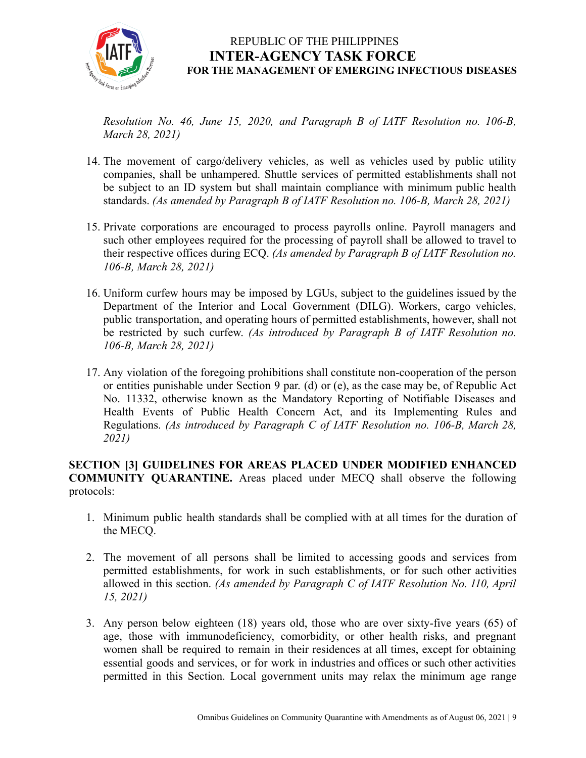

*Resolution No. 46, June 15, 2020, and Paragraph B of IATF Resolution no. 106-B, March 28, 2021)*

- 14. The movement of cargo/delivery vehicles, as well as vehicles used by public utility companies, shall be unhampered. Shuttle services of permitted establishments shall not be subject to an ID system but shall maintain compliance with minimum public health standards. *(As amended by Paragraph B of IATF Resolution no. 106-B, March 28, 2021)*
- 15. Private corporations are encouraged to process payrolls online. Payroll managers and such other employees required for the processing of payroll shall be allowed to travel to their respective offices during ECQ. *(As amended by Paragraph B of IATF Resolution no. 106-B, March 28, 2021)*
- 16. Uniform curfew hours may be imposed by LGUs, subject to the guidelines issued by the Department of the Interior and Local Government (DILG). Workers, cargo vehicles, public transportation, and operating hours of permitted establishments, however, shall not be restricted by such curfew. *(As introduced by Paragraph B of IATF Resolution no. 106-B, March 28, 2021)*
- 17. Any violation of the foregoing prohibitions shall constitute non-cooperation of the person or entities punishable under Section 9 par. (d) or (e), as the case may be, of Republic Act No. 11332, otherwise known as the Mandatory Reporting of Notifiable Diseases and Health Events of Public Health Concern Act, and its Implementing Rules and Regulations. *(As introduced by Paragraph C of IATF Resolution no. 106-B, March 28, 2021)*

**SECTION [3] GUIDELINES FOR AREAS PLACED UNDER MODIFIED ENHANCED COMMUNITY QUARANTINE.** Areas placed under MECQ shall observe the following protocols:

- 1. Minimum public health standards shall be complied with at all times for the duration of the MECQ.
- 2. The movement of all persons shall be limited to accessing goods and services from permitted establishments, for work in such establishments, or for such other activities allowed in this section. *(As amended by Paragraph C of IATF Resolution No. 110, April 15, 2021)*
- 3. Any person below eighteen (18) years old, those who are over sixty-five years (65) of age, those with immunodeficiency, comorbidity, or other health risks, and pregnant women shall be required to remain in their residences at all times, except for obtaining essential goods and services, or for work in industries and offices or such other activities permitted in this Section. Local government units may relax the minimum age range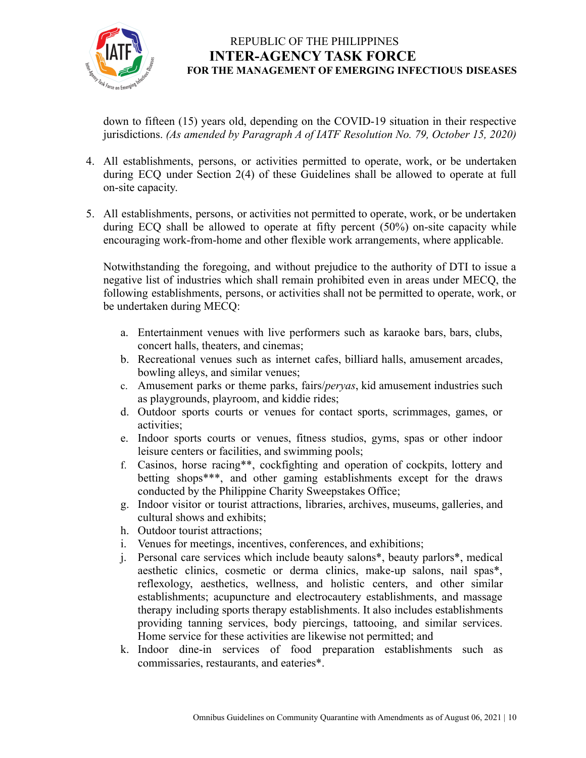

down to fifteen (15) years old, depending on the COVID-19 situation in their respective jurisdictions. *(As amended by Paragraph A of IATF Resolution No. 79, October 15, 2020)*

- 4. All establishments, persons, or activities permitted to operate, work, or be undertaken during ECQ under Section 2(4) of these Guidelines shall be allowed to operate at full on-site capacity.
- 5. All establishments, persons, or activities not permitted to operate, work, or be undertaken during ECQ shall be allowed to operate at fifty percent (50%) on-site capacity while encouraging work-from-home and other flexible work arrangements, where applicable.

Notwithstanding the foregoing, and without prejudice to the authority of DTI to issue a negative list of industries which shall remain prohibited even in areas under MECQ, the following establishments, persons, or activities shall not be permitted to operate, work, or be undertaken during MECQ:

- a. Entertainment venues with live performers such as karaoke bars, bars, clubs, concert halls, theaters, and cinemas;
- b. Recreational venues such as internet cafes, billiard halls, amusement arcades, bowling alleys, and similar venues;
- c. Amusement parks or theme parks, fairs/*peryas*, kid amusement industries such as playgrounds, playroom, and kiddie rides;
- d. Outdoor sports courts or venues for contact sports, scrimmages, games, or activities;
- e. Indoor sports courts or venues, fitness studios, gyms, spas or other indoor leisure centers or facilities, and swimming pools;
- f. Casinos, horse racing\*\*, cockfighting and operation of cockpits, lottery and betting shops\*\*\*, and other gaming establishments except for the draws conducted by the Philippine Charity Sweepstakes Office;
- g. Indoor visitor or tourist attractions, libraries, archives, museums, galleries, and cultural shows and exhibits;
- h. Outdoor tourist attractions;
- i. Venues for meetings, incentives, conferences, and exhibitions;
- j. Personal care services which include beauty salons\*, beauty parlors\*, medical aesthetic clinics, cosmetic or derma clinics, make-up salons, nail spas\*, reflexology, aesthetics, wellness, and holistic centers, and other similar establishments; acupuncture and electrocautery establishments, and massage therapy including sports therapy establishments. It also includes establishments providing tanning services, body piercings, tattooing, and similar services. Home service for these activities are likewise not permitted; and
- k. Indoor dine-in services of food preparation establishments such as commissaries, restaurants, and eateries\*.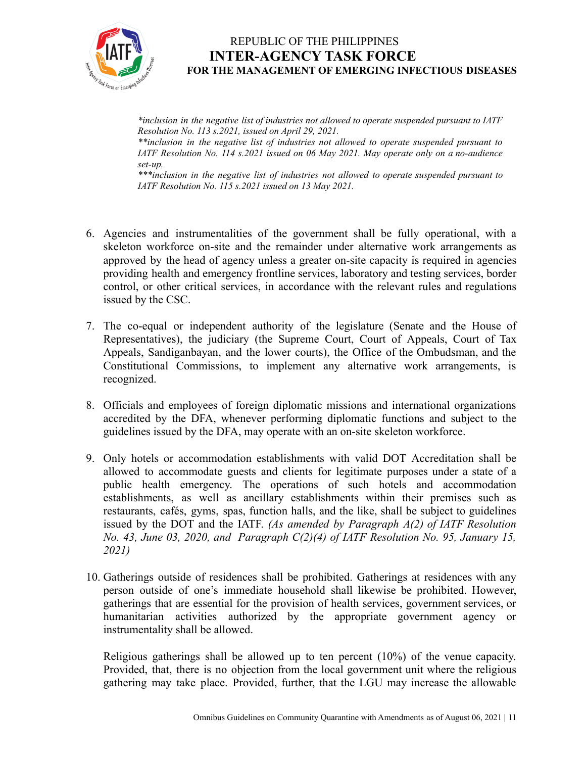

*\*inclusion in the negative list of industries not allowed to operate suspended pursuant to IATF Resolution No. 113 s.2021, issued on April 29, 2021.*

*\*\*inclusion in the negative list of industries not allowed to operate suspended pursuant to IATF Resolution No. 114 s.2021 issued on 06 May 2021. May operate only on a no-audience set-up.*

*\*\*\*inclusion in the negative list of industries not allowed to operate suspended pursuant to IATF Resolution No. 115 s.2021 issued on 13 May 2021.*

- 6. Agencies and instrumentalities of the government shall be fully operational, with a skeleton workforce on-site and the remainder under alternative work arrangements as approved by the head of agency unless a greater on-site capacity is required in agencies providing health and emergency frontline services, laboratory and testing services, border control, or other critical services, in accordance with the relevant rules and regulations issued by the CSC.
- 7. The co-equal or independent authority of the legislature (Senate and the House of Representatives), the judiciary (the Supreme Court, Court of Appeals, Court of Tax Appeals, Sandiganbayan, and the lower courts), the Office of the Ombudsman, and the Constitutional Commissions, to implement any alternative work arrangements, is recognized.
- 8. Officials and employees of foreign diplomatic missions and international organizations accredited by the DFA, whenever performing diplomatic functions and subject to the guidelines issued by the DFA, may operate with an on-site skeleton workforce.
- 9. Only hotels or accommodation establishments with valid DOT Accreditation shall be allowed to accommodate guests and clients for legitimate purposes under a state of a public health emergency. The operations of such hotels and accommodation establishments, as well as ancillary establishments within their premises such as restaurants, cafés, gyms, spas, function halls, and the like, shall be subject to guidelines issued by the DOT and the IATF. *(As amended by Paragraph A(2) of IATF Resolution No. 43, June 03, 2020, and Paragraph C(2)(4) of IATF Resolution No. 95, January 15, 2021)*
- 10. Gatherings outside of residences shall be prohibited. Gatherings at residences with any person outside of one's immediate household shall likewise be prohibited. However, gatherings that are essential for the provision of health services, government services, or humanitarian activities authorized by the appropriate government agency or instrumentality shall be allowed.

Religious gatherings shall be allowed up to ten percent (10%) of the venue capacity. Provided, that, there is no objection from the local government unit where the religious gathering may take place. Provided, further, that the LGU may increase the allowable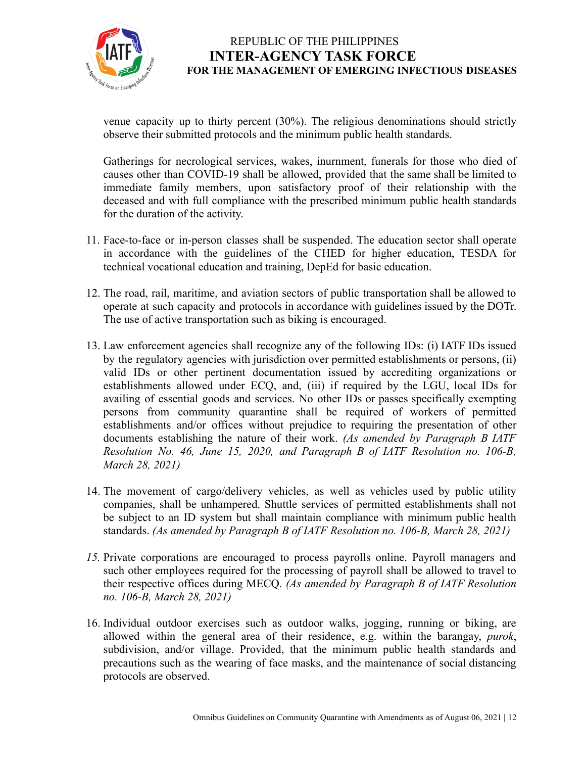

venue capacity up to thirty percent (30%). The religious denominations should strictly observe their submitted protocols and the minimum public health standards.

Gatherings for necrological services, wakes, inurnment, funerals for those who died of causes other than COVID-19 shall be allowed, provided that the same shall be limited to immediate family members, upon satisfactory proof of their relationship with the deceased and with full compliance with the prescribed minimum public health standards for the duration of the activity.

- 11. Face-to-face or in-person classes shall be suspended. The education sector shall operate in accordance with the guidelines of the CHED for higher education, TESDA for technical vocational education and training, DepEd for basic education.
- 12. The road, rail, maritime, and aviation sectors of public transportation shall be allowed to operate at such capacity and protocols in accordance with guidelines issued by the DOTr. The use of active transportation such as biking is encouraged.
- 13. Law enforcement agencies shall recognize any of the following IDs: (i) IATF IDs issued by the regulatory agencies with jurisdiction over permitted establishments or persons, (ii) valid IDs or other pertinent documentation issued by accrediting organizations or establishments allowed under ECQ, and, (iii) if required by the LGU, local IDs for availing of essential goods and services. No other IDs or passes specifically exempting persons from community quarantine shall be required of workers of permitted establishments and/or offices without prejudice to requiring the presentation of other documents establishing the nature of their work. *(As amended by Paragraph B IATF Resolution No. 46, June 15, 2020, and Paragraph B of IATF Resolution no. 106-B, March 28, 2021)*
- 14. The movement of cargo/delivery vehicles, as well as vehicles used by public utility companies, shall be unhampered. Shuttle services of permitted establishments shall not be subject to an ID system but shall maintain compliance with minimum public health standards. *(As amended by Paragraph B of IATF Resolution no. 106-B, March 28, 2021)*
- *15.* Private corporations are encouraged to process payrolls online. Payroll managers and such other employees required for the processing of payroll shall be allowed to travel to their respective offices during MECQ. *(As amended by Paragraph B of IATF Resolution no. 106-B, March 28, 2021)*
- 16. Individual outdoor exercises such as outdoor walks, jogging, running or biking, are allowed within the general area of their residence, e.g. within the barangay, *purok*, subdivision, and/or village. Provided, that the minimum public health standards and precautions such as the wearing of face masks, and the maintenance of social distancing protocols are observed.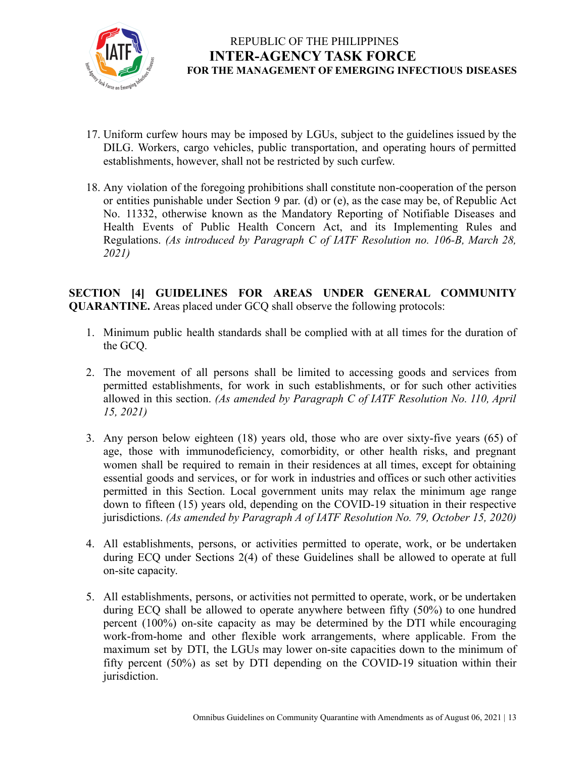

- 17. Uniform curfew hours may be imposed by LGUs, subject to the guidelines issued by the DILG. Workers, cargo vehicles, public transportation, and operating hours of permitted establishments, however, shall not be restricted by such curfew.
- 18. Any violation of the foregoing prohibitions shall constitute non-cooperation of the person or entities punishable under Section 9 par. (d) or (e), as the case may be, of Republic Act No. 11332, otherwise known as the Mandatory Reporting of Notifiable Diseases and Health Events of Public Health Concern Act, and its Implementing Rules and Regulations. *(As introduced by Paragraph C of IATF Resolution no. 106-B, March 28, 2021)*

**SECTION [4] GUIDELINES FOR AREAS UNDER GENERAL COMMUNITY QUARANTINE.** Areas placed under GCQ shall observe the following protocols:

- 1. Minimum public health standards shall be complied with at all times for the duration of the GCQ.
- 2. The movement of all persons shall be limited to accessing goods and services from permitted establishments, for work in such establishments, or for such other activities allowed in this section. *(As amended by Paragraph C of IATF Resolution No. 110, April 15, 2021)*
- 3. Any person below eighteen (18) years old, those who are over sixty-five years (65) of age, those with immunodeficiency, comorbidity, or other health risks, and pregnant women shall be required to remain in their residences at all times, except for obtaining essential goods and services, or for work in industries and offices or such other activities permitted in this Section. Local government units may relax the minimum age range down to fifteen (15) years old, depending on the COVID-19 situation in their respective jurisdictions. *(As amended by Paragraph A of IATF Resolution No. 79, October 15, 2020)*
- 4. All establishments, persons, or activities permitted to operate, work, or be undertaken during ECQ under Sections 2(4) of these Guidelines shall be allowed to operate at full on-site capacity.
- 5. All establishments, persons, or activities not permitted to operate, work, or be undertaken during ECQ shall be allowed to operate anywhere between fifty (50%) to one hundred percent (100%) on-site capacity as may be determined by the DTI while encouraging work-from-home and other flexible work arrangements, where applicable. From the maximum set by DTI, the LGUs may lower on-site capacities down to the minimum of fifty percent (50%) as set by DTI depending on the COVID-19 situation within their jurisdiction.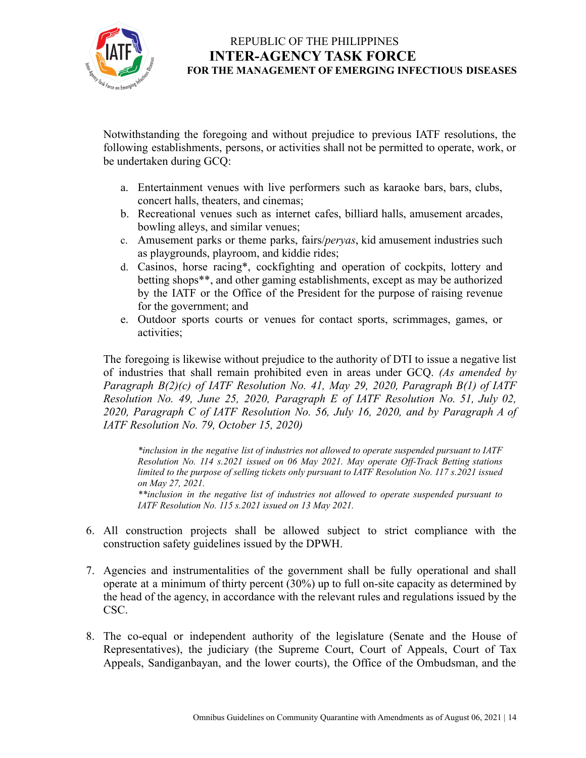

Notwithstanding the foregoing and without prejudice to previous IATF resolutions, the following establishments, persons, or activities shall not be permitted to operate, work, or be undertaken during GCQ:

- a. Entertainment venues with live performers such as karaoke bars, bars, clubs, concert halls, theaters, and cinemas;
- b. Recreational venues such as internet cafes, billiard halls, amusement arcades, bowling alleys, and similar venues;
- c. Amusement parks or theme parks, fairs/*peryas*, kid amusement industries such as playgrounds, playroom, and kiddie rides;
- d. Casinos, horse racing\*, cockfighting and operation of cockpits, lottery and betting shops\*\*, and other gaming establishments, except as may be authorized by the IATF or the Office of the President for the purpose of raising revenue for the government; and
- e. Outdoor sports courts or venues for contact sports, scrimmages, games, or activities;

The foregoing is likewise without prejudice to the authority of DTI to issue a negative list of industries that shall remain prohibited even in areas under GCQ. *(As amended by Paragraph B(2)(c) of IATF Resolution No. 41, May 29, 2020, Paragraph B(1) of IATF Resolution No. 49, June 25, 2020, Paragraph E of IATF Resolution No. 51, July 02, 2020, Paragraph C of IATF Resolution No. 56, July 16, 2020, and by Paragraph A of IATF Resolution No. 79, October 15, 2020)*

*\*inclusion in the negative list of industries not allowed to operate suspended pursuant to IATF Resolution No. 114 s.2021 issued on 06 May 2021. May operate Of -Track Betting stations limited to the purpose of selling tickets only pursuant to IATF Resolution No. 117 s.2021 issued on May 27, 2021.*

*\*\*inclusion in the negative list of industries not allowed to operate suspended pursuant to IATF Resolution No. 115 s.2021 issued on 13 May 2021.*

- 6. All construction projects shall be allowed subject to strict compliance with the construction safety guidelines issued by the DPWH.
- 7. Agencies and instrumentalities of the government shall be fully operational and shall operate at a minimum of thirty percent (30%) up to full on-site capacity as determined by the head of the agency, in accordance with the relevant rules and regulations issued by the CSC.
- 8. The co-equal or independent authority of the legislature (Senate and the House of Representatives), the judiciary (the Supreme Court, Court of Appeals, Court of Tax Appeals, Sandiganbayan, and the lower courts), the Office of the Ombudsman, and the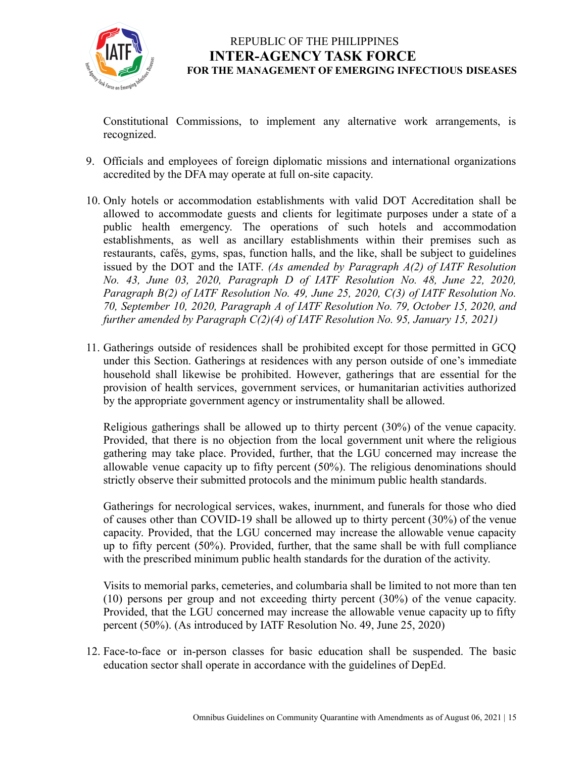

Constitutional Commissions, to implement any alternative work arrangements, is recognized.

- 9. Officials and employees of foreign diplomatic missions and international organizations accredited by the DFA may operate at full on-site capacity.
- 10. Only hotels or accommodation establishments with valid DOT Accreditation shall be allowed to accommodate guests and clients for legitimate purposes under a state of a public health emergency. The operations of such hotels and accommodation establishments, as well as ancillary establishments within their premises such as restaurants, cafés, gyms, spas, function halls, and the like, shall be subject to guidelines issued by the DOT and the IATF. *(As amended by Paragraph A(2) of IATF Resolution No. 43, June 03, 2020, Paragraph D of IATF Resolution No. 48, June 22, 2020, Paragraph B(2) of IATF Resolution No. 49, June 25, 2020, C(3) of IATF Resolution No. 70, September 10, 2020, Paragraph A of IATF Resolution No. 79, October 15, 2020, and further amended by Paragraph C(2)(4) of IATF Resolution No. 95, January 15, 2021)*
- 11. Gatherings outside of residences shall be prohibited except for those permitted in GCQ under this Section. Gatherings at residences with any person outside of one's immediate household shall likewise be prohibited. However, gatherings that are essential for the provision of health services, government services, or humanitarian activities authorized by the appropriate government agency or instrumentality shall be allowed.

Religious gatherings shall be allowed up to thirty percent (30%) of the venue capacity. Provided, that there is no objection from the local government unit where the religious gathering may take place. Provided, further, that the LGU concerned may increase the allowable venue capacity up to fifty percent (50%). The religious denominations should strictly observe their submitted protocols and the minimum public health standards.

Gatherings for necrological services, wakes, inurnment, and funerals for those who died of causes other than COVID-19 shall be allowed up to thirty percent (30%) of the venue capacity. Provided, that the LGU concerned may increase the allowable venue capacity up to fifty percent (50%). Provided, further, that the same shall be with full compliance with the prescribed minimum public health standards for the duration of the activity.

Visits to memorial parks, cemeteries, and columbaria shall be limited to not more than ten (10) persons per group and not exceeding thirty percent (30%) of the venue capacity. Provided, that the LGU concerned may increase the allowable venue capacity up to fifty percent (50%). (As introduced by IATF Resolution No. 49, June 25, 2020)

12. Face-to-face or in-person classes for basic education shall be suspended. The basic education sector shall operate in accordance with the guidelines of DepEd.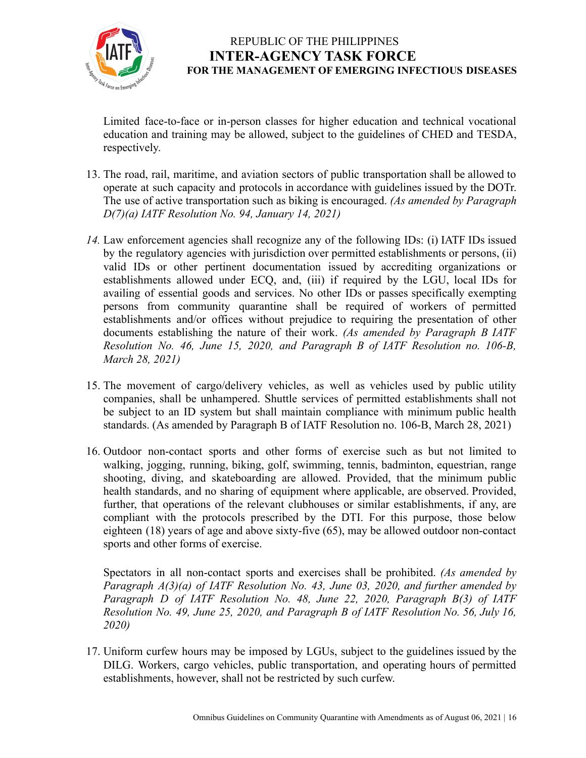

Limited face-to-face or in-person classes for higher education and technical vocational education and training may be allowed, subject to the guidelines of CHED and TESDA, respectively.

- 13. The road, rail, maritime, and aviation sectors of public transportation shall be allowed to operate at such capacity and protocols in accordance with guidelines issued by the DOTr. The use of active transportation such as biking is encouraged. *(As amended by Paragraph D(7)(a) IATF Resolution No. 94, January 14, 2021)*
- *14.* Law enforcement agencies shall recognize any of the following IDs: (i) IATF IDs issued by the regulatory agencies with jurisdiction over permitted establishments or persons, (ii) valid IDs or other pertinent documentation issued by accrediting organizations or establishments allowed under ECQ, and, (iii) if required by the LGU, local IDs for availing of essential goods and services. No other IDs or passes specifically exempting persons from community quarantine shall be required of workers of permitted establishments and/or offices without prejudice to requiring the presentation of other documents establishing the nature of their work. *(As amended by Paragraph B IATF Resolution No. 46, June 15, 2020, and Paragraph B of IATF Resolution no. 106-B, March 28, 2021)*
- 15. The movement of cargo/delivery vehicles, as well as vehicles used by public utility companies, shall be unhampered. Shuttle services of permitted establishments shall not be subject to an ID system but shall maintain compliance with minimum public health standards. (As amended by Paragraph B of IATF Resolution no. 106-B, March 28, 2021)
- 16. Outdoor non-contact sports and other forms of exercise such as but not limited to walking, jogging, running, biking, golf, swimming, tennis, badminton, equestrian, range shooting, diving, and skateboarding are allowed. Provided, that the minimum public health standards, and no sharing of equipment where applicable, are observed. Provided, further, that operations of the relevant clubhouses or similar establishments, if any, are compliant with the protocols prescribed by the DTI. For this purpose, those below eighteen (18) years of age and above sixty-five (65), may be allowed outdoor non-contact sports and other forms of exercise.

Spectators in all non-contact sports and exercises shall be prohibited. *(As amended by Paragraph A(3)(a) of IATF Resolution No. 43, June 03, 2020, and further amended by Paragraph D of IATF Resolution No. 48, June 22, 2020, Paragraph B(3) of IATF Resolution No. 49, June 25, 2020, and Paragraph B of IATF Resolution No. 56, July 16, 2020)*

17. Uniform curfew hours may be imposed by LGUs, subject to the guidelines issued by the DILG. Workers, cargo vehicles, public transportation, and operating hours of permitted establishments, however, shall not be restricted by such curfew.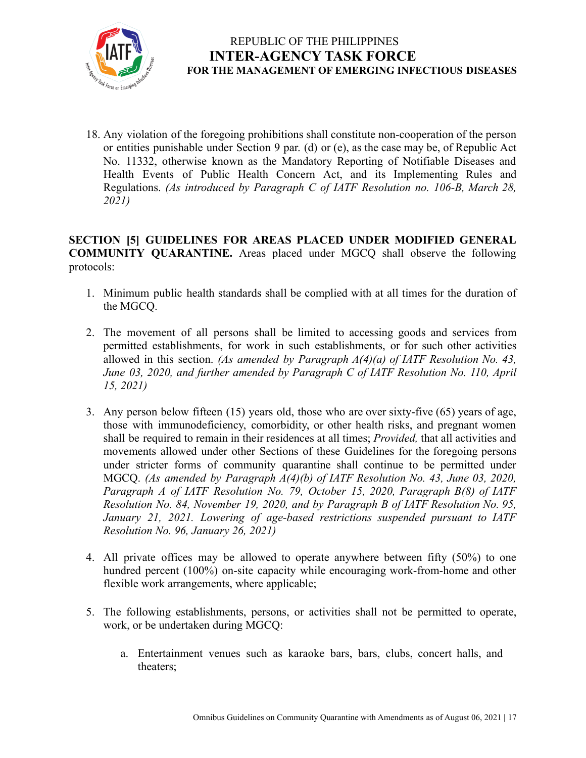

18. Any violation of the foregoing prohibitions shall constitute non-cooperation of the person or entities punishable under Section 9 par. (d) or (e), as the case may be, of Republic Act No. 11332, otherwise known as the Mandatory Reporting of Notifiable Diseases and Health Events of Public Health Concern Act, and its Implementing Rules and Regulations. *(As introduced by Paragraph C of IATF Resolution no. 106-B, March 28, 2021)*

**SECTION [5] GUIDELINES FOR AREAS PLACED UNDER MODIFIED GENERAL COMMUNITY QUARANTINE.** Areas placed under MGCQ shall observe the following protocols:

- 1. Minimum public health standards shall be complied with at all times for the duration of the MGCQ.
- 2. The movement of all persons shall be limited to accessing goods and services from permitted establishments, for work in such establishments, or for such other activities allowed in this section. *(As amended by Paragraph A(4)(a) of IATF Resolution No. 43, June 03, 2020, and further amended by Paragraph C of IATF Resolution No. 110, April 15, 2021)*
- 3. Any person below fifteen (15) years old, those who are over sixty-five (65) years of age, those with immunodeficiency, comorbidity, or other health risks, and pregnant women shall be required to remain in their residences at all times; *Provided,* that all activities and movements allowed under other Sections of these Guidelines for the foregoing persons under stricter forms of community quarantine shall continue to be permitted under MGCQ. *(As amended by Paragraph A(4)(b) of IATF Resolution No. 43, June 03, 2020, Paragraph A of IATF Resolution No. 79, October 15, 2020, Paragraph B(8) of IATF Resolution No. 84, November 19, 2020, and by Paragraph B of IATF Resolution No. 95, January 21, 2021. Lowering of age-based restrictions suspended pursuant to IATF Resolution No. 96, January 26, 2021)*
- 4. All private offices may be allowed to operate anywhere between fifty (50%) to one hundred percent (100%) on-site capacity while encouraging work-from-home and other flexible work arrangements, where applicable;
- 5. The following establishments, persons, or activities shall not be permitted to operate, work, or be undertaken during MGCQ:
	- a. Entertainment venues such as karaoke bars, bars, clubs, concert halls, and theaters;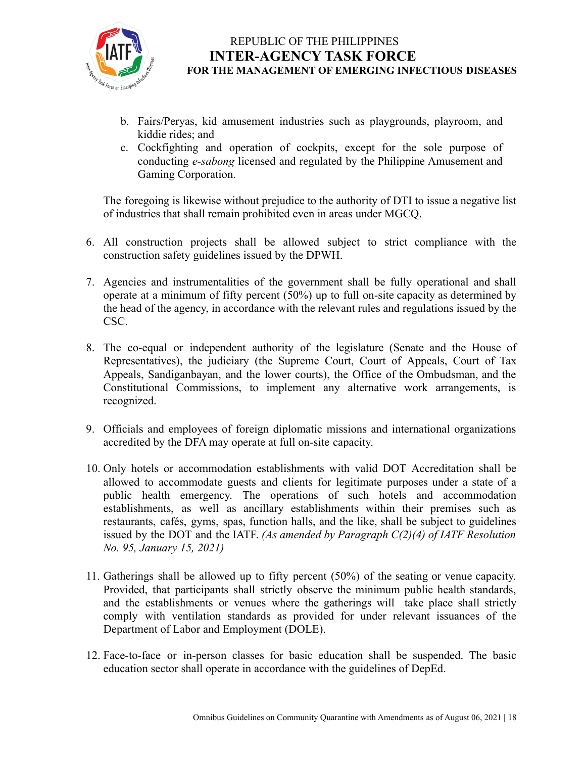

- b. Fairs/Peryas, kid amusement industries such as playgrounds, playroom, and kiddie rides; and
- c. Cockfighting and operation of cockpits, except for the sole purpose of conducting *e-sabong* licensed and regulated by the Philippine Amusement and Gaming Corporation.

The foregoing is likewise without prejudice to the authority of DTI to issue a negative list of industries that shall remain prohibited even in areas under MGCQ.

- 6. All construction projects shall be allowed subject to strict compliance with the construction safety guidelines issued by the DPWH.
- 7. Agencies and instrumentalities of the government shall be fully operational and shall operate at a minimum of fifty percent (50%) up to full on-site capacity as determined by the head of the agency, in accordance with the relevant rules and regulations issued by the CSC.
- 8. The co-equal or independent authority of the legislature (Senate and the House of Representatives), the judiciary (the Supreme Court, Court of Appeals, Court of Tax Appeals, Sandiganbayan, and the lower courts), the Office of the Ombudsman, and the Constitutional Commissions, to implement any alternative work arrangements, is recognized.
- 9. Officials and employees of foreign diplomatic missions and international organizations accredited by the DFA may operate at full on-site capacity.
- 10. Only hotels or accommodation establishments with valid DOT Accreditation shall be allowed to accommodate guests and clients for legitimate purposes under a state of a public health emergency. The operations of such hotels and accommodation establishments, as well as ancillary establishments within their premises such as restaurants, cafés, gyms, spas, function halls, and the like, shall be subject to guidelines issued by the DOT and the IATF. *(As amended by Paragraph C(2)(4) of IATF Resolution No. 95, January 15, 2021)*
- 11. Gatherings shall be allowed up to fifty percent (50%) of the seating or venue capacity. Provided, that participants shall strictly observe the minimum public health standards, and the establishments or venues where the gatherings will take place shall strictly comply with ventilation standards as provided for under relevant issuances of the Department of Labor and Employment (DOLE).
- 12. Face-to-face or in-person classes for basic education shall be suspended. The basic education sector shall operate in accordance with the guidelines of DepEd.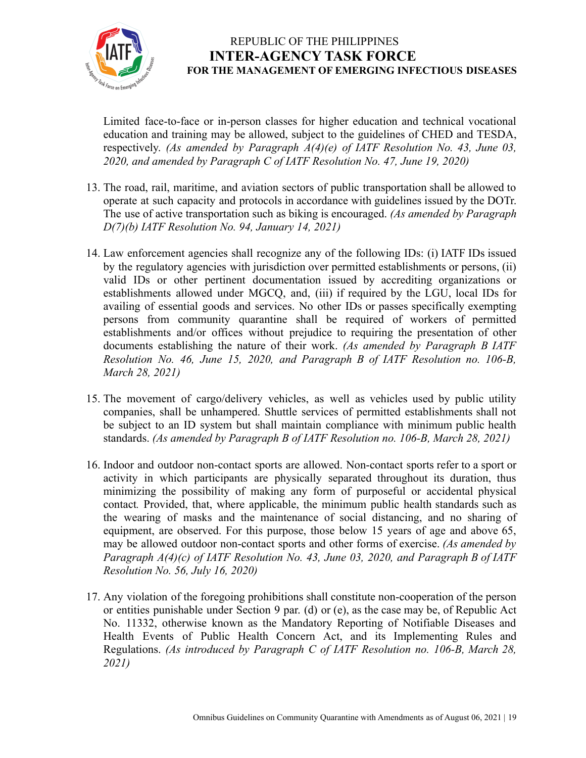

Limited face-to-face or in-person classes for higher education and technical vocational education and training may be allowed, subject to the guidelines of CHED and TESDA, respectively. *(As amended by Paragraph A(4)(e) of IATF Resolution No. 43, June 03, 2020, and amended by Paragraph C of IATF Resolution No. 47, June 19, 2020)*

- 13. The road, rail, maritime, and aviation sectors of public transportation shall be allowed to operate at such capacity and protocols in accordance with guidelines issued by the DOTr. The use of active transportation such as biking is encouraged. *(As amended by Paragraph D(7)(b) IATF Resolution No. 94, January 14, 2021)*
- 14. Law enforcement agencies shall recognize any of the following IDs: (i) IATF IDs issued by the regulatory agencies with jurisdiction over permitted establishments or persons, (ii) valid IDs or other pertinent documentation issued by accrediting organizations or establishments allowed under MGCQ, and, (iii) if required by the LGU, local IDs for availing of essential goods and services. No other IDs or passes specifically exempting persons from community quarantine shall be required of workers of permitted establishments and/or offices without prejudice to requiring the presentation of other documents establishing the nature of their work. *(As amended by Paragraph B IATF Resolution No. 46, June 15, 2020, and Paragraph B of IATF Resolution no. 106-B, March 28, 2021)*
- 15. The movement of cargo/delivery vehicles, as well as vehicles used by public utility companies, shall be unhampered. Shuttle services of permitted establishments shall not be subject to an ID system but shall maintain compliance with minimum public health standards. *(As amended by Paragraph B of IATF Resolution no. 106-B, March 28, 2021)*
- 16. Indoor and outdoor non-contact sports are allowed. Non-contact sports refer to a sport or activity in which participants are physically separated throughout its duration, thus minimizing the possibility of making any form of purposeful or accidental physical contact*.* Provided, that, where applicable, the minimum public health standards such as the wearing of masks and the maintenance of social distancing, and no sharing of equipment, are observed. For this purpose, those below 15 years of age and above 65, may be allowed outdoor non-contact sports and other forms of exercise. *(As amended by Paragraph A(4)(c) of IATF Resolution No. 43, June 03, 2020, and Paragraph B of IATF Resolution No. 56, July 16, 2020)*
- 17. Any violation of the foregoing prohibitions shall constitute non-cooperation of the person or entities punishable under Section 9 par. (d) or (e), as the case may be, of Republic Act No. 11332, otherwise known as the Mandatory Reporting of Notifiable Diseases and Health Events of Public Health Concern Act, and its Implementing Rules and Regulations. *(As introduced by Paragraph C of IATF Resolution no. 106-B, March 28, 2021)*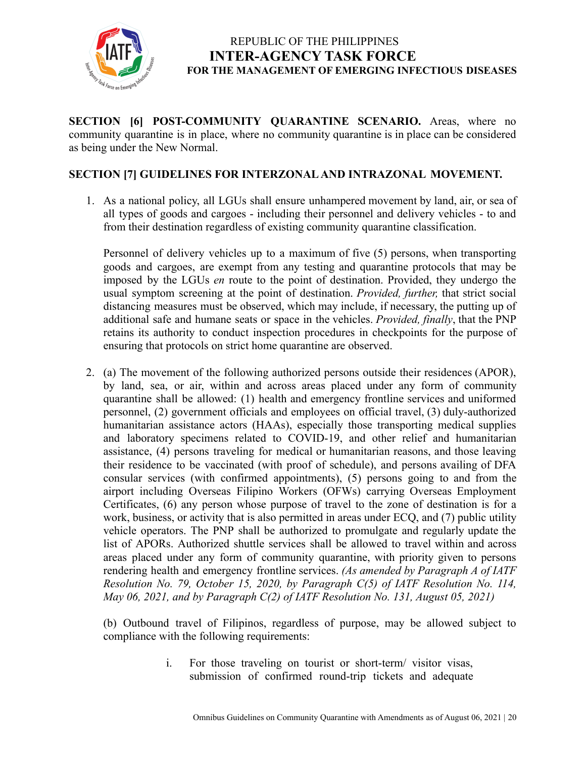

**SECTION [6] POST-COMMUNITY QUARANTINE SCENARIO.** Areas, where no community quarantine is in place, where no community quarantine is in place can be considered as being under the New Normal.

#### **SECTION [7] GUIDELINES FOR INTERZONAL AND INTRAZONAL MOVEMENT.**

1. As a national policy, all LGUs shall ensure unhampered movement by land, air, or sea of all types of goods and cargoes - including their personnel and delivery vehicles - to and from their destination regardless of existing community quarantine classification.

Personnel of delivery vehicles up to a maximum of five (5) persons, when transporting goods and cargoes, are exempt from any testing and quarantine protocols that may be imposed by the LGUs *en* route to the point of destination. Provided, they undergo the usual symptom screening at the point of destination. *Provided, further,* that strict social distancing measures must be observed, which may include, if necessary, the putting up of additional safe and humane seats or space in the vehicles. *Provided, finally*, that the PNP retains its authority to conduct inspection procedures in checkpoints for the purpose of ensuring that protocols on strict home quarantine are observed.

2. (a) The movement of the following authorized persons outside their residences (APOR), by land, sea, or air, within and across areas placed under any form of community quarantine shall be allowed: (1) health and emergency frontline services and uniformed personnel, (2) government officials and employees on official travel, (3) duly-authorized humanitarian assistance actors (HAAs), especially those transporting medical supplies and laboratory specimens related to COVID-19, and other relief and humanitarian assistance, (4) persons traveling for medical or humanitarian reasons, and those leaving their residence to be vaccinated (with proof of schedule), and persons availing of DFA consular services (with confirmed appointments), (5) persons going to and from the airport including Overseas Filipino Workers (OFWs) carrying Overseas Employment Certificates, (6) any person whose purpose of travel to the zone of destination is for a work, business, or activity that is also permitted in areas under ECQ, and (7) public utility vehicle operators. The PNP shall be authorized to promulgate and regularly update the list of APORs. Authorized shuttle services shall be allowed to travel within and across areas placed under any form of community quarantine, with priority given to persons rendering health and emergency frontline services. *(As amended by Paragraph A of IATF Resolution No. 79, October 15, 2020, by Paragraph C(5) of IATF Resolution No. 114, May 06, 2021, and by Paragraph C(2) of IATF Resolution No. 131, August 05, 2021)*

(b) Outbound travel of Filipinos, regardless of purpose, may be allowed subject to compliance with the following requirements:

> i. For those traveling on tourist or short-term/ visitor visas, submission of confirmed round-trip tickets and adequate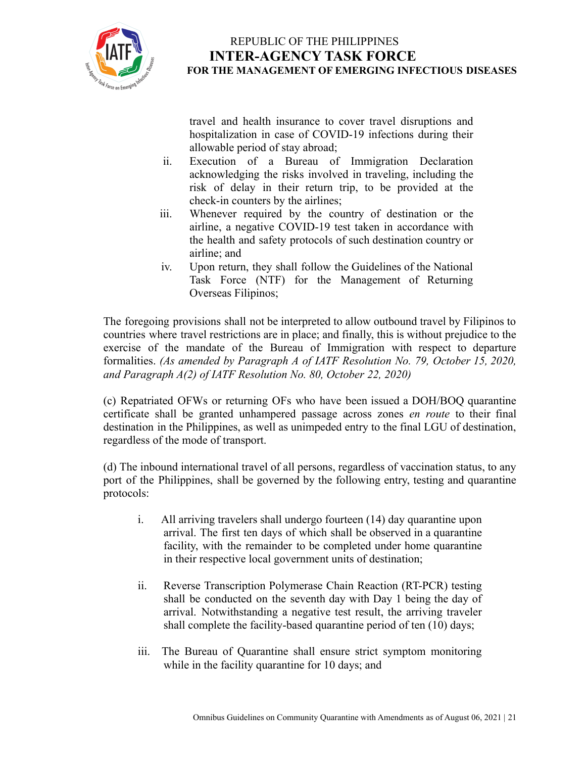

travel and health insurance to cover travel disruptions and hospitalization in case of COVID-19 infections during their allowable period of stay abroad;

- ii. Execution of a Bureau of Immigration Declaration acknowledging the risks involved in traveling, including the risk of delay in their return trip, to be provided at the check-in counters by the airlines;
- iii. Whenever required by the country of destination or the airline, a negative COVID-19 test taken in accordance with the health and safety protocols of such destination country or airline; and
- iv. Upon return, they shall follow the Guidelines of the National Task Force (NTF) for the Management of Returning Overseas Filipinos;

The foregoing provisions shall not be interpreted to allow outbound travel by Filipinos to countries where travel restrictions are in place; and finally, this is without prejudice to the exercise of the mandate of the Bureau of Immigration with respect to departure formalities. *(As amended by Paragraph A of IATF Resolution No. 79, October 15, 2020, and Paragraph A(2) of IATF Resolution No. 80, October 22, 2020)*

(c) Repatriated OFWs or returning OFs who have been issued a DOH/BOQ quarantine certificate shall be granted unhampered passage across zones *en route* to their final destination in the Philippines, as well as unimpeded entry to the final LGU of destination, regardless of the mode of transport.

(d) The inbound international travel of all persons, regardless of vaccination status, to any port of the Philippines, shall be governed by the following entry, testing and quarantine protocols:

- i. All arriving travelers shall undergo fourteen (14) day quarantine upon arrival. The first ten days of which shall be observed in a quarantine facility, with the remainder to be completed under home quarantine in their respective local government units of destination;
- ii. Reverse Transcription Polymerase Chain Reaction (RT-PCR) testing shall be conducted on the seventh day with Day 1 being the day of arrival. Notwithstanding a negative test result, the arriving traveler shall complete the facility-based quarantine period of ten (10) days;
- iii. The Bureau of Quarantine shall ensure strict symptom monitoring while in the facility quarantine for 10 days; and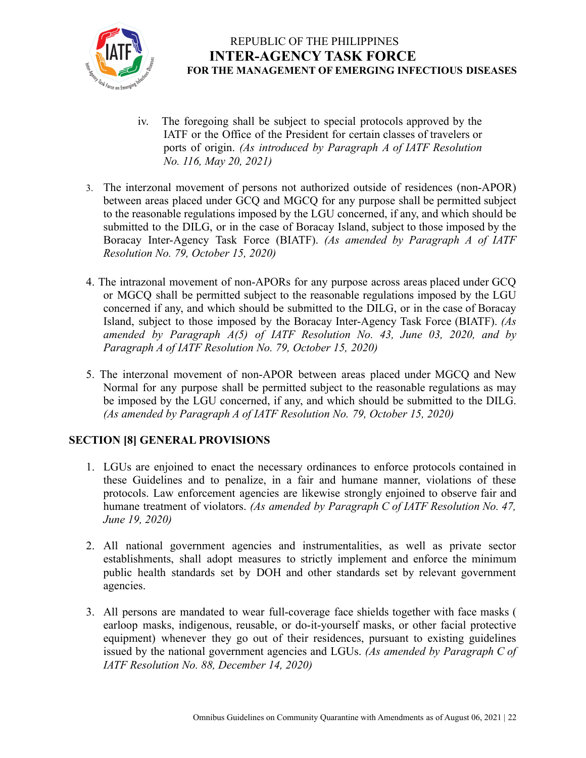

- iv. The foregoing shall be subject to special protocols approved by the IATF or the Office of the President for certain classes of travelers or ports of origin. *(As introduced by Paragraph A of IATF Resolution No. 116, May 20, 2021)*
- 3. The interzonal movement of persons not authorized outside of residences (non-APOR) between areas placed under GCQ and MGCQ for any purpose shall be permitted subject to the reasonable regulations imposed by the LGU concerned, if any, and which should be submitted to the DILG, or in the case of Boracay Island, subject to those imposed by the Boracay Inter-Agency Task Force (BIATF). *(As amended by Paragraph A of IATF Resolution No. 79, October 15, 2020)*
- 4. The intrazonal movement of non-APORs for any purpose across areas placed under GCQ or MGCQ shall be permitted subject to the reasonable regulations imposed by the LGU concerned if any, and which should be submitted to the DILG, or in the case of Boracay Island, subject to those imposed by the Boracay Inter-Agency Task Force (BIATF). *(As amended by Paragraph A(5) of IATF Resolution No. 43, June 03, 2020, and by Paragraph A of IATF Resolution No. 79, October 15, 2020)*
- 5. The interzonal movement of non-APOR between areas placed under MGCQ and New Normal for any purpose shall be permitted subject to the reasonable regulations as may be imposed by the LGU concerned, if any, and which should be submitted to the DILG. *(As amended by Paragraph A of IATF Resolution No. 79, October 15, 2020)*

### **SECTION [8] GENERAL PROVISIONS**

- 1. LGUs are enjoined to enact the necessary ordinances to enforce protocols contained in these Guidelines and to penalize, in a fair and humane manner, violations of these protocols. Law enforcement agencies are likewise strongly enjoined to observe fair and humane treatment of violators. *(As amended by Paragraph C of IATF Resolution No. 47, June 19, 2020)*
- 2. All national government agencies and instrumentalities, as well as private sector establishments, shall adopt measures to strictly implement and enforce the minimum public health standards set by DOH and other standards set by relevant government agencies.
- 3. All persons are mandated to wear full-coverage face shields together with face masks ( earloop masks, indigenous, reusable, or do-it-yourself masks, or other facial protective equipment) whenever they go out of their residences, pursuant to existing guidelines issued by the national government agencies and LGUs. *(As amended by Paragraph C of IATF Resolution No. 88, December 14, 2020)*